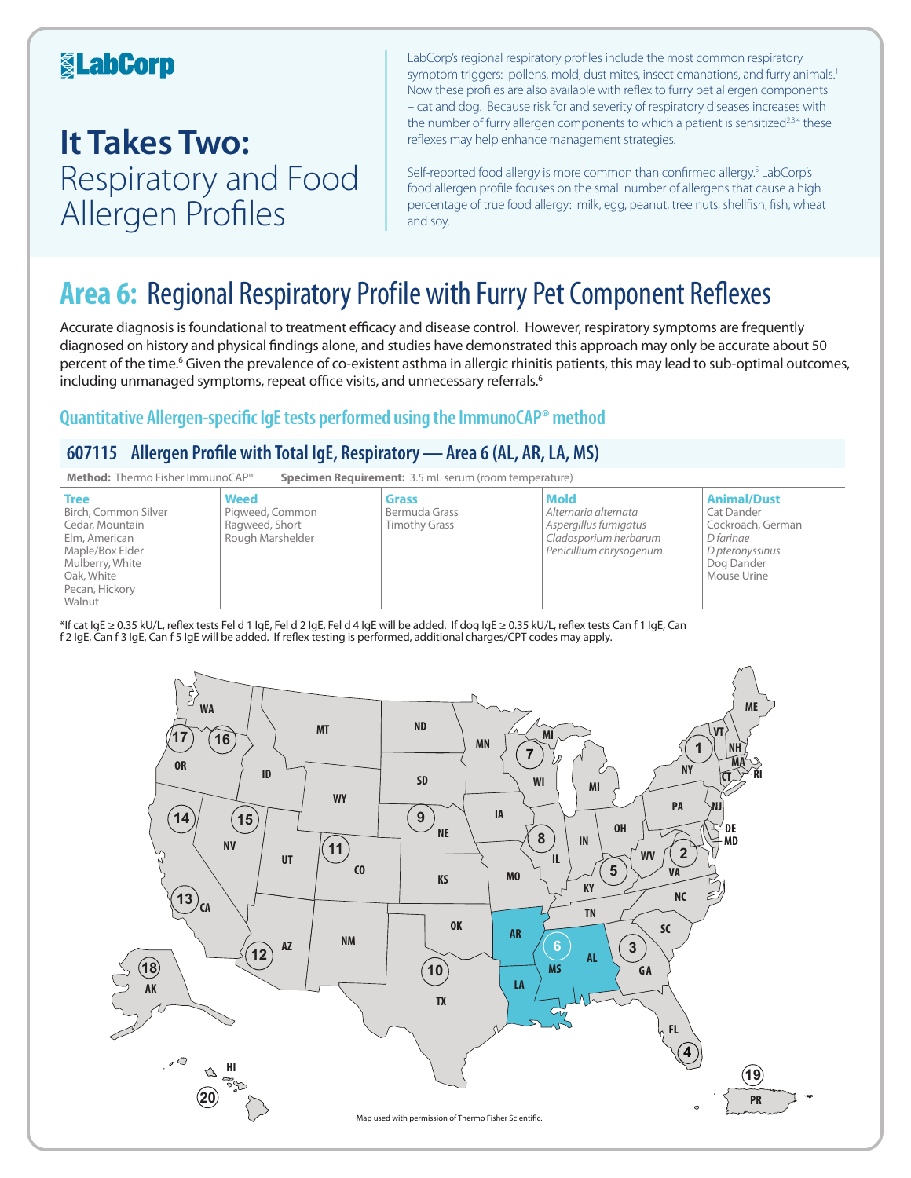### **KabCorp**

## **It Takes Two:**  Respiratory and Food Allergen Profiles

LabCorp's regional respiratory profiles include the most common respiratory symptom triggers: pollens, mold, dust mites, insect emanations, and furry animals.<sup>1</sup> Now these profiles are also available with reflex to furry pet allergen components – cat and dog. Because risk for and severity of respiratory diseases increases with the number of furry allergen components to which a patient is sensitized<sup>2,3,4</sup> these reflexes may help enhance management strategies.

Self-reported food allergy is more common than confirmed allergy.<sup>5</sup> LabCorp's food allergen profile focuses on the small number of allergens that cause a high percentage of true food allergy: milk, egg, peanut, tree nuts, shellfish, fish, wheat and soy.

## **Area 6:** Regional Respiratory Profile with Furry Pet Component Reflexes

Accurate diagnosis is foundational to treatment efficacy and disease control. However, respiratory symptoms are frequently diagnosed on history and physical findings alone, and studies have demonstrated this approach may only be accurate about 50 percent of the time.<sup>6</sup> Given the prevalence of co-existent asthma in allergic rhinitis patients, this may lead to sub-optimal outcomes, including unmanaged symptoms, repeat office visits, and unnecessary referrals.<sup>6</sup>

### **Quantitative Allergen-specific IgE tests performed using the ImmunoCAP® method**

### **607115 Allergen Profile with Total IgE, Respiratory—Area 6 (AL, AR, LA, MS)**